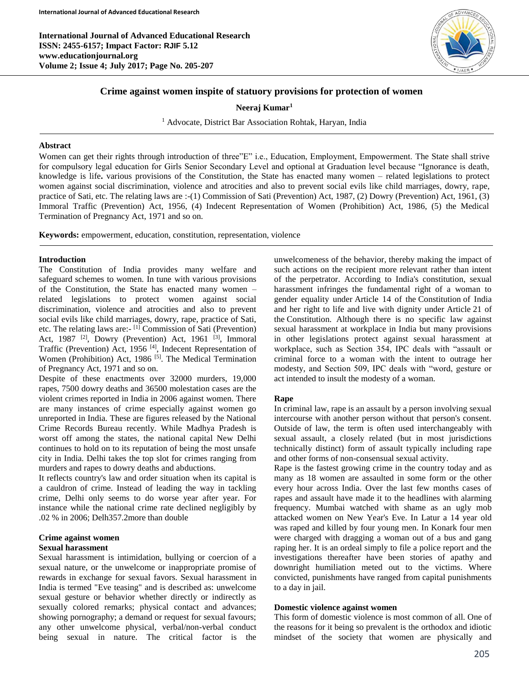**International Journal of Advanced Educational Research ISSN: 2455-6157; Impact Factor: RJIF 5.12 www.educationjournal.org Volume 2; Issue 4; July 2017; Page No. 205-207**



## **Crime against women inspite of statuory provisions for protection of women**

**Neeraj Kumar<sup>1</sup>**

<sup>1</sup> Advocate, District Bar Association Rohtak, Haryan, India

#### **Abstract**

Women can get their rights through introduction of three"E" i.e., Education, Employment, Empowerment. The State shall strive for compulsory legal education for Girls Senior Secondary Level and optional at Graduation level because "Ignorance is death, knowledge is life**.** various provisions of the Constitution, the State has enacted many women – related legislations to protect women against social discrimination, violence and atrocities and also to prevent social evils like child marriages, dowry, rape, practice of Sati, etc. The relating laws are :-(1) Commission of Sati (Prevention) Act, 1987, (2) Dowry (Prevention) Act, 1961, (3) Immoral Traffic (Prevention) Act, 1956, (4) Indecent Representation of Women (Prohibition) Act, 1986, (5) the Medical Termination of Pregnancy Act, 1971 and so on.

**Keywords:** empowerment, education, constitution, representation, violence

## **Introduction**

Ī

The Constitution of India provides many welfare and safeguard schemes to women. In tune with various provisions of the Constitution, the State has enacted many women – related legislations to protect women against social discrimination, violence and atrocities and also to prevent social evils like child marriages, dowry, rape, practice of Sati, etc. The relating laws are:- [1] Commission of Sati (Prevention) Act, 1987<sup>[2]</sup>, Dowry (Prevention) Act, 1961<sup>[3]</sup>, Immoral Traffic (Prevention) Act, 1956<sup>[4]</sup>, Indecent Representation of Women (Prohibition) Act, 1986<sup>[5]</sup>. The Medical Termination of Pregnancy Act, 1971 and so on.

Despite of these enactments over 32000 murders, 19,000 rapes, 7500 dowry deaths and 36500 molestation cases are the violent crimes reported in India in 2006 against women. There are many instances of crime especially against women go unreported in India. These are figures released by the National Crime Records Bureau recently. While Madhya Pradesh is worst off among the states, the national capital New Delhi continues to hold on to its reputation of being the most unsafe city in India. Delhi takes the top slot for crimes ranging from murders and rapes to dowry deaths and abductions.

It reflects country's law and order situation when its capital is a cauldron of crime. Instead of leading the way in tackling crime, Delhi only seems to do worse year after year. For instance while the national crime rate declined negligibly by .02 % in 2006; Delh357.2more than double

## **Crime against women Sexual harassment**

Sexual harassment is intimidation, bullying or coercion of a sexual nature, or the unwelcome or inappropriate promise of rewards in exchange for sexual favors. Sexual harassment in India is termed "Eve teasing" and is described as: unwelcome sexual gesture or behavior whether directly or indirectly as sexually colored remarks; physical contact and advances; showing pornography; a demand or request for sexual favours; any other unwelcome physical, verbal/non-verbal conduct being sexual in nature. The critical factor is the

unwelcomeness of the behavior, thereby making the impact of such actions on the recipient more relevant rather than intent of the perpetrator. According to India's constitution, sexual harassment infringes the fundamental right of a woman to gender equality under Article 14 of the Constitution of India and her right to life and live with dignity under Article 21 of the Constitution. Although there is no specific law against sexual harassment at workplace in India but many provisions in other legislations protect against sexual harassment at workplace, such as Section 354, IPC deals with "assault or criminal force to a woman with the intent to outrage her modesty, and Section 509, IPC deals with "word, gesture or act intended to insult the modesty of a woman.

### **Rape**

In criminal law, rape is an assault by a person involving sexual intercourse with another person without that person's consent. Outside of law, the term is often used interchangeably with sexual assault, a closely related (but in most jurisdictions technically distinct) form of assault typically including rape and other forms of non-consensual sexual activity.

Rape is the fastest growing crime in the country today and as many as 18 women are assaulted in some form or the other every hour across India. Over the last few months cases of rapes and assault have made it to the headlines with alarming frequency. Mumbai watched with shame as an ugly mob attacked women on New Year's Eve. In Latur a 14 year old was raped and killed by four young men. In Konark four men were charged with dragging a woman out of a bus and gang raping her. It is an ordeal simply to file a police report and the investigations thereafter have been stories of apathy and downright humiliation meted out to the victims. Where convicted, punishments have ranged from capital punishments to a day in jail.

# **Domestic violence against women**

This form of domestic violence is most common of all. One of the reasons for it being so prevalent is the orthodox and idiotic mindset of the society that women are physically and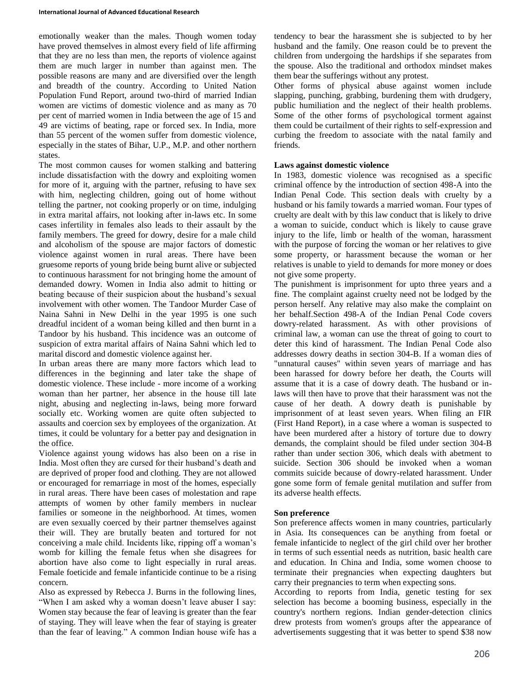emotionally weaker than the males. Though women today have proved themselves in almost every field of life affirming that they are no less than men, the reports of violence against them are much larger in number than against men. The possible reasons are many and are diversified over the length and breadth of the country. According to United Nation Population Fund Report, around two-third of married Indian women are victims of domestic violence and as many as 70 per cent of married women in India between the age of 15 and 49 are victims of beating, rape or forced sex. In India, more than 55 percent of the women suffer from domestic violence, especially in the states of Bihar, U.P., M.P. and other northern states.

The most common causes for women stalking and battering include dissatisfaction with the dowry and exploiting women for more of it, arguing with the partner, refusing to have sex with him, neglecting children, going out of home without telling the partner, not cooking properly or on time, indulging in extra marital affairs, not looking after in-laws etc. In some cases infertility in females also leads to their assault by the family members. The greed for dowry, desire for a male child and alcoholism of the spouse are major factors of domestic violence against women in rural areas. There have been gruesome reports of young bride being burnt alive or subjected to continuous harassment for not bringing home the amount of demanded dowry. Women in India also admit to hitting or beating because of their suspicion about the husband's sexual involvement with other women. The Tandoor Murder Case of Naina Sahni in New Delhi in the year 1995 is one such dreadful incident of a woman being killed and then burnt in a Tandoor by his husband. This incidence was an outcome of suspicion of extra marital affairs of Naina Sahni which led to marital discord and domestic violence against her.

In urban areas there are many more factors which lead to differences in the beginning and later take the shape of domestic violence. These include - more income of a working woman than her partner, her absence in the house till late night, abusing and neglecting in-laws, being more forward socially etc. Working women are quite often subjected to assaults and coercion sex by employees of the organization. At times, it could be voluntary for a better pay and designation in the office.

Violence against young widows has also been on a rise in India. Most often they are cursed for their husband's death and are deprived of proper food and clothing. They are not allowed or encouraged for remarriage in most of the homes, especially in rural areas. There have been cases of molestation and rape attempts of women by other family members in nuclear families or someone in the neighborhood. At times, women are even sexually coerced by their partner themselves against their will. They are brutally beaten and tortured for not conceiving a male child. Incidents like, ripping off a woman's womb for killing the female fetus when she disagrees for abortion have also come to light especially in rural areas. Female foeticide and female infanticide continue to be a rising concern.

Also as expressed by Rebecca J. Burns in the following lines, "When I am asked why a woman doesn't leave abuser I say: Women stay because the fear of leaving is greater than the fear of staying. They will leave when the fear of staying is greater than the fear of leaving." A common Indian house wife has a

tendency to bear the harassment she is subjected to by her husband and the family. One reason could be to prevent the children from undergoing the hardships if she separates from the spouse. Also the traditional and orthodox mindset makes them bear the sufferings without any protest.

Other forms of physical abuse against women include slapping, punching, grabbing, burdening them with drudgery, public humiliation and the neglect of their health problems. Some of the other forms of psychological torment against them could be curtailment of their rights to self-expression and curbing the freedom to associate with the natal family and friends.

# **Laws against domestic violence**

In 1983, domestic violence was recognised as a specific criminal offence by the introduction of section 498-A into the Indian Penal Code. This section deals with cruelty by a husband or his family towards a married woman. Four types of cruelty are dealt with by this law conduct that is likely to drive a woman to suicide, conduct which is likely to cause grave injury to the life, limb or health of the woman, harassment with the purpose of forcing the woman or her relatives to give some property, or harassment because the woman or her relatives is unable to yield to demands for more money or does not give some property.

The punishment is imprisonment for upto three years and a fine. The complaint against cruelty need not be lodged by the person herself. Any relative may also make the complaint on her behalf.Section 498-A of the Indian Penal Code covers dowry-related harassment. As with other provisions of criminal law, a woman can use the threat of going to court to deter this kind of harassment. The Indian Penal Code also addresses dowry deaths in section 304-B. If a woman dies of "unnatural causes" within seven years of marriage and has been harassed for dowry before her death, the Courts will assume that it is a case of dowry death. The husband or inlaws will then have to prove that their harassment was not the cause of her death. A dowry death is punishable by imprisonment of at least seven years. When filing an FIR (First Hand Report), in a case where a woman is suspected to have been murdered after a history of torture due to dowry demands, the complaint should be filed under section 304-B rather than under section 306, which deals with abetment to suicide. Section 306 should be invoked when a woman commits suicide because of dowry-related harassment. Under gone some form of female genital mutilation and suffer from its adverse health effects.

# **Son preference**

Son preference affects women in many countries, particularly in Asia. Its consequences can be anything from foetal or female infanticide to neglect of the girl child over her brother in terms of such essential needs as nutrition, basic health care and education. In China and India, some women choose to terminate their pregnancies when expecting daughters but carry their pregnancies to term when expecting sons.

According to reports from India, genetic testing for sex selection has become a booming business, especially in the country's northern regions. Indian gender-detection clinics drew protests from women's groups after the appearance of advertisements suggesting that it was better to spend \$38 now